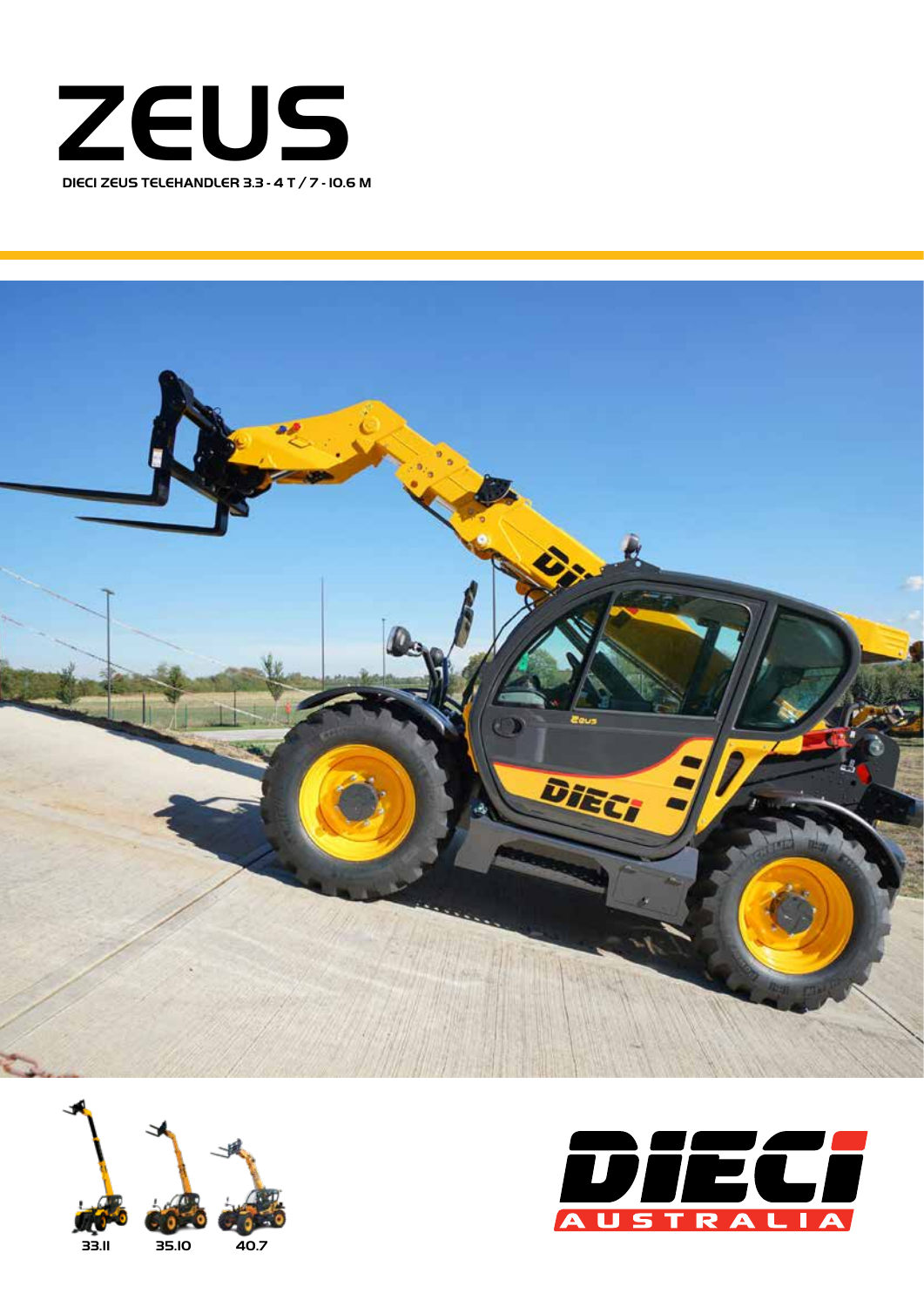





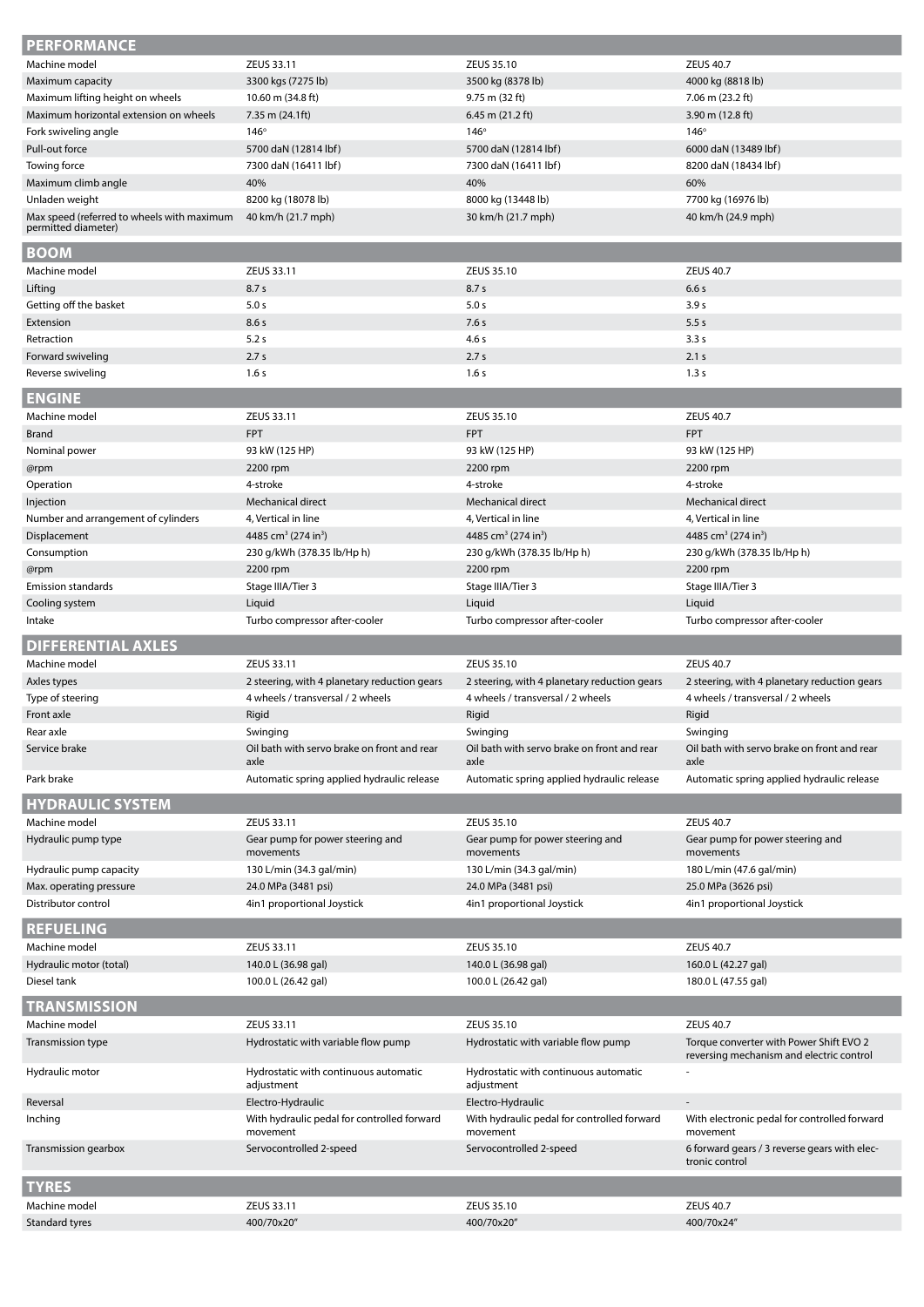| <b>PERFORMANCE</b>                                           |                                                     |                                                     |                                                                                     |
|--------------------------------------------------------------|-----------------------------------------------------|-----------------------------------------------------|-------------------------------------------------------------------------------------|
| Machine model                                                | ZEUS 33.11                                          | ZEUS 35.10                                          | <b>ZEUS 40.7</b>                                                                    |
| Maximum capacity                                             | 3300 kgs (7275 lb)                                  | 3500 kg (8378 lb)                                   | 4000 kg (8818 lb)                                                                   |
| Maximum lifting height on wheels                             | 10.60 m (34.8 ft)                                   | 9.75 m (32 ft)                                      | 7.06 m (23.2 ft)                                                                    |
| Maximum horizontal extension on wheels                       | $7.35$ m $(24.1ft)$                                 | $6.45$ m $(21.2$ ft)                                | 3.90 m $(12.8 \text{ ft})$                                                          |
| Fork swiveling angle                                         | $146^\circ$                                         | 146°                                                | 146°                                                                                |
| Pull-out force                                               | 5700 daN (12814 lbf)                                | 5700 daN (12814 lbf)                                | 6000 daN (13489 lbf)                                                                |
| Towing force                                                 | 7300 daN (16411 lbf)                                | 7300 daN (16411 lbf)                                | 8200 daN (18434 lbf)                                                                |
| Maximum climb angle                                          | 40%                                                 | 40%                                                 | 60%                                                                                 |
| Unladen weight<br>Max speed (referred to wheels with maximum | 8200 kg (18078 lb)<br>40 km/h (21.7 mph)            | 8000 kg (13448 lb)<br>30 km/h (21.7 mph)            | 7700 kg (16976 lb)<br>40 km/h (24.9 mph)                                            |
| permitted diameter)                                          |                                                     |                                                     |                                                                                     |
| <b>BOOM</b>                                                  |                                                     |                                                     |                                                                                     |
| Machine model                                                | ZEUS 33.11                                          | ZEUS 35.10                                          | <b>ZEUS 40.7</b>                                                                    |
| Lifting                                                      | 8.7 <sub>s</sub>                                    | 8.7s                                                | 6.6s                                                                                |
| Getting off the basket                                       | 5.0 s                                               | 5.0 s                                               | 3.9 <sub>s</sub>                                                                    |
| Extension<br>Retraction                                      | 8.6s                                                | 7.6s                                                | 5.5s                                                                                |
| Forward swiveling                                            | 5.2s<br>2.7s                                        | 4.6 s<br>2.7s                                       | 3.3s<br>2.1 s                                                                       |
| Reverse swiveling                                            | 1.6s                                                | 1.6s                                                | 1.3s                                                                                |
|                                                              |                                                     |                                                     |                                                                                     |
| <b>ENGINE</b>                                                |                                                     |                                                     |                                                                                     |
| Machine model                                                | ZEUS 33.11                                          | ZEUS 35.10                                          | <b>ZEUS 40.7</b>                                                                    |
| Brand                                                        | <b>FPT</b>                                          | <b>FPT</b>                                          | <b>FPT</b>                                                                          |
| Nominal power                                                | 93 kW (125 HP)                                      | 93 kW (125 HP)                                      | 93 kW (125 HP)                                                                      |
| @rpm                                                         | 2200 rpm                                            | 2200 rpm                                            | 2200 rpm                                                                            |
| Operation                                                    | 4-stroke                                            | 4-stroke                                            | 4-stroke                                                                            |
| Injection                                                    | Mechanical direct                                   | Mechanical direct                                   | Mechanical direct                                                                   |
| Number and arrangement of cylinders                          | 4, Vertical in line                                 | 4, Vertical in line                                 | 4, Vertical in line                                                                 |
| Displacement                                                 | 4485 cm <sup>3</sup> (274 in <sup>3</sup> )         | 4485 cm <sup>3</sup> (274 in <sup>3</sup> )         | 4485 cm <sup>3</sup> (274 in <sup>3</sup> )                                         |
| Consumption                                                  | 230 g/kWh (378.35 lb/Hp h)                          | 230 g/kWh (378.35 lb/Hp h)                          | 230 g/kWh (378.35 lb/Hp h)                                                          |
| @rpm                                                         | 2200 rpm                                            | 2200 rpm                                            | 2200 rpm                                                                            |
| <b>Emission standards</b>                                    | Stage IIIA/Tier 3                                   | Stage IIIA/Tier 3                                   | Stage IIIA/Tier 3                                                                   |
| Cooling system                                               | Liquid                                              | Liquid                                              | Liquid                                                                              |
| Intake                                                       | Turbo compressor after-cooler                       | Turbo compressor after-cooler                       | Turbo compressor after-cooler                                                       |
|                                                              |                                                     |                                                     |                                                                                     |
| <b>DIFFERENTIAL AXLES</b>                                    |                                                     |                                                     |                                                                                     |
| Machine model                                                | ZEUS 33.11                                          | ZEUS 35.10                                          | <b>ZEUS 40.7</b>                                                                    |
| Axles types                                                  | 2 steering, with 4 planetary reduction gears        | 2 steering, with 4 planetary reduction gears        | 2 steering, with 4 planetary reduction gears                                        |
| Type of steering                                             | 4 wheels / transversal / 2 wheels                   | 4 wheels / transversal / 2 wheels                   | 4 wheels / transversal / 2 wheels                                                   |
| Front axle                                                   | Rigid                                               | Rigid                                               | Rigid                                                                               |
| Rear axle                                                    | Swinging                                            | Swinging                                            | Swinging                                                                            |
| Service brake                                                | Oil bath with servo brake on front and rear<br>axle | Oil bath with servo brake on front and rear<br>axle | Oil bath with servo brake on front and rear<br>axle                                 |
| Park brake                                                   | Automatic spring applied hydraulic release          | Automatic spring applied hydraulic release          | Automatic spring applied hydraulic release                                          |
|                                                              |                                                     |                                                     |                                                                                     |
| <b>HYDRAULIC SYSTEM</b><br>Machine model                     | ZEUS 33.11                                          | ZEUS 35.10                                          | <b>ZEUS 40.7</b>                                                                    |
| Hydraulic pump type                                          | Gear pump for power steering and                    | Gear pump for power steering and                    | Gear pump for power steering and                                                    |
|                                                              | movements                                           | movements                                           | movements                                                                           |
| Hydraulic pump capacity<br>Max. operating pressure           | 130 L/min (34.3 gal/min)                            | 130 L/min (34.3 gal/min)<br>24.0 MPa (3481 psi)     | 180 L/min (47.6 gal/min)<br>25.0 MPa (3626 psi)                                     |
| Distributor control                                          | 24.0 MPa (3481 psi)<br>4in1 proportional Joystick   | 4in1 proportional Joystick                          |                                                                                     |
|                                                              |                                                     |                                                     | 4in1 proportional Joystick                                                          |
| <b>REFUELING</b>                                             |                                                     |                                                     |                                                                                     |
| Machine model                                                | ZEUS 33.11                                          | ZEUS 35.10                                          | <b>ZEUS 40.7</b>                                                                    |
| Hydraulic motor (total)                                      | 140.0 L (36.98 gal)                                 | 140.0 L (36.98 gal)                                 | 160.0 L (42.27 gal)                                                                 |
| Diesel tank                                                  | 100.0 L (26.42 gal)                                 | 100.0 L (26.42 gal)                                 | 180.0 L (47.55 gal)                                                                 |
| <b>TRANSMISSION</b>                                          |                                                     |                                                     |                                                                                     |
| Machine model                                                | ZEUS 33.11                                          | ZEUS 35.10                                          | <b>ZEUS 40.7</b>                                                                    |
| Transmission type                                            | Hydrostatic with variable flow pump                 | Hydrostatic with variable flow pump                 | Torque converter with Power Shift EVO 2<br>reversing mechanism and electric control |
| Hydraulic motor                                              | Hydrostatic with continuous automatic<br>adjustment | Hydrostatic with continuous automatic<br>adjustment |                                                                                     |
| Reversal                                                     | Electro-Hydraulic                                   | Electro-Hydraulic                                   |                                                                                     |
| Inching                                                      | With hydraulic pedal for controlled forward         | With hydraulic pedal for controlled forward         | With electronic pedal for controlled forward                                        |
| Transmission gearbox                                         | movement<br>Servocontrolled 2-speed                 | movement<br>Servocontrolled 2-speed                 | movement<br>6 forward gears / 3 reverse gears with elec-                            |
|                                                              |                                                     |                                                     | tronic control                                                                      |
| <b>TYRES</b>                                                 |                                                     |                                                     |                                                                                     |
| Machine model<br>Standard tyres                              | ZEUS 33.11<br>400/70x20"                            | ZEUS 35.10<br>400/70x20"                            | <b>ZEUS 40.7</b><br>400/70x24"                                                      |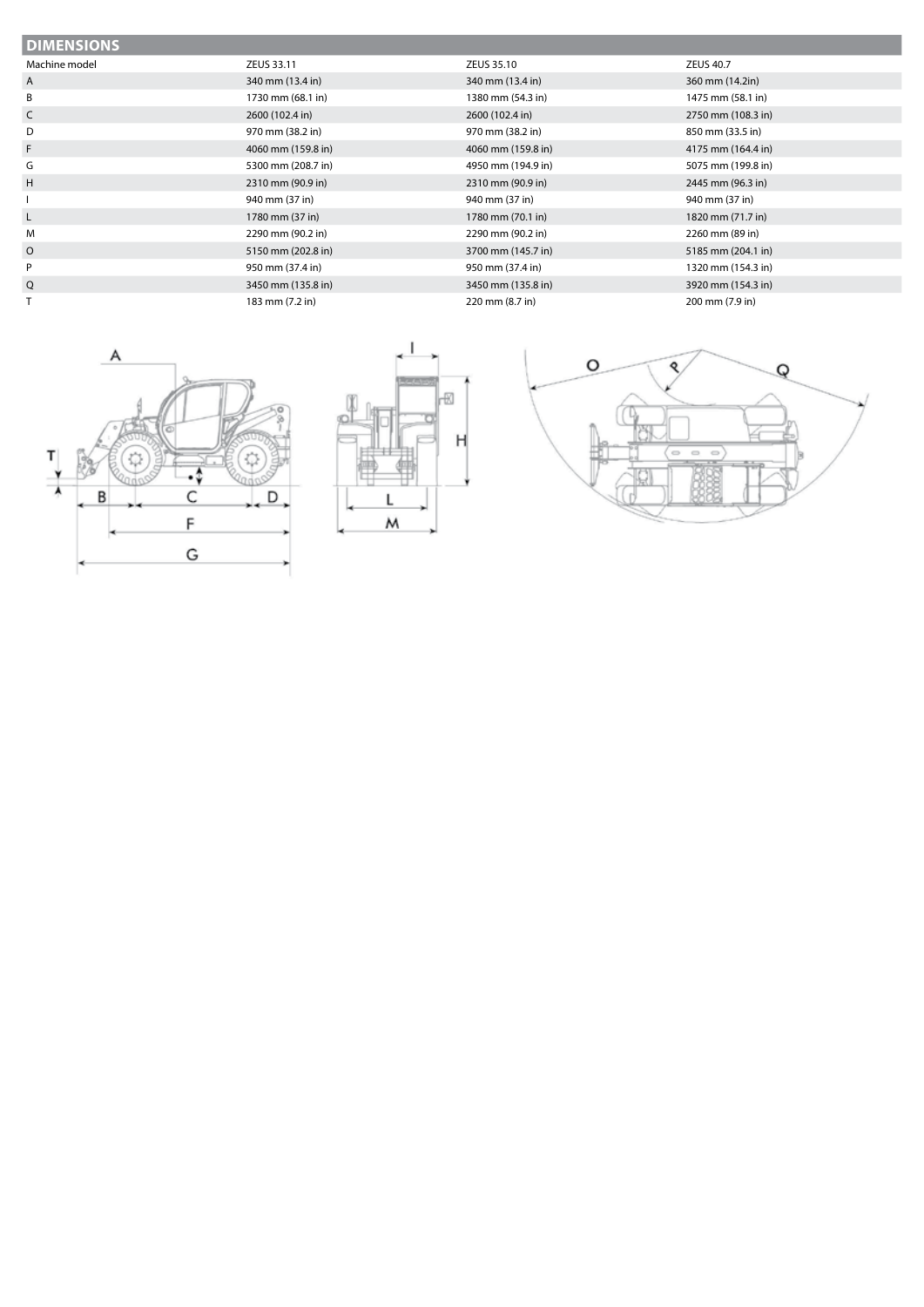| <b>DIMENSIONS</b> |                    |                    |                    |  |
|-------------------|--------------------|--------------------|--------------------|--|
| Machine model     | ZEUS 33.11         | ZEUS 35.10         | <b>ZEUS 40.7</b>   |  |
| A                 | 340 mm (13.4 in)   | 340 mm (13.4 in)   | 360 mm (14.2in)    |  |
| B                 | 1730 mm (68.1 in)  | 1380 mm (54.3 in)  | 1475 mm (58.1 in)  |  |
| C                 | 2600 (102.4 in)    | 2600 (102.4 in)    | 2750 mm (108.3 in) |  |
| D                 | 970 mm (38.2 in)   | 970 mm (38.2 in)   | 850 mm (33.5 in)   |  |
| F                 | 4060 mm (159.8 in) | 4060 mm (159.8 in) | 4175 mm (164.4 in) |  |
| G                 | 5300 mm (208.7 in) | 4950 mm (194.9 in) | 5075 mm (199.8 in) |  |
| H                 | 2310 mm (90.9 in)  | 2310 mm (90.9 in)  | 2445 mm (96.3 in)  |  |
|                   | 940 mm (37 in)     | 940 mm (37 in)     | 940 mm (37 in)     |  |
| L                 | 1780 mm (37 in)    | 1780 mm (70.1 in)  | 1820 mm (71.7 in)  |  |
| M                 | 2290 mm (90.2 in)  | 2290 mm (90.2 in)  | 2260 mm (89 in)    |  |
| $\circ$           | 5150 mm (202.8 in) | 3700 mm (145.7 in) | 5185 mm (204.1 in) |  |
| P                 | 950 mm (37.4 in)   | 950 mm (37.4 in)   | 1320 mm (154.3 in) |  |
| Q                 | 3450 mm (135.8 in) | 3450 mm (135.8 in) | 3920 mm (154.3 in) |  |
|                   | 183 mm (7.2 in)    | 220 mm (8.7 in)    | 200 mm (7.9 in)    |  |